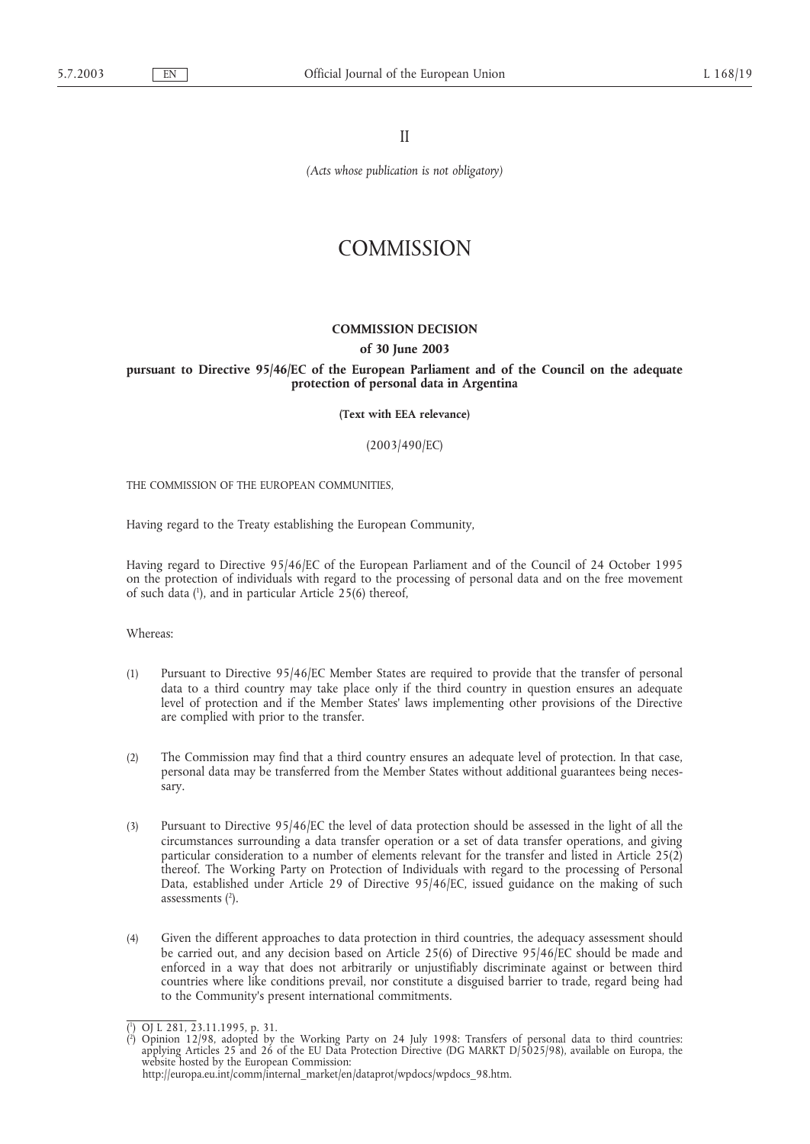II

*(Acts whose publication is not obligatory)*

# **COMMISSION**

## **COMMISSION DECISION**

#### **of 30 June 2003**

# **pursuant to Directive 95/46/EC of the European Parliament and of the Council on the adequate protection of personal data in Argentina**

**(Text with EEA relevance)**

(2003/490/EC)

THE COMMISSION OF THE EUROPEAN COMMUNITIES,

Having regard to the Treaty establishing the European Community,

Having regard to Directive 95/46/EC of the European Parliament and of the Council of 24 October 1995 on the protection of individuals with regard to the processing of personal data and on the free movement of such data (1 ), and in particular Article 25(6) thereof,

Whereas:

- (1) Pursuant to Directive 95/46/EC Member States are required to provide that the transfer of personal data to a third country may take place only if the third country in question ensures an adequate level of protection and if the Member States' laws implementing other provisions of the Directive are complied with prior to the transfer.
- (2) The Commission may find that a third country ensures an adequate level of protection. In that case, personal data may be transferred from the Member States without additional guarantees being necessary.
- (3) Pursuant to Directive 95/46/EC the level of data protection should be assessed in the light of all the circumstances surrounding a data transfer operation or a set of data transfer operations, and giving particular consideration to a number of elements relevant for the transfer and listed in Article 25(2) thereof. The Working Party on Protection of Individuals with regard to the processing of Personal Data, established under Article 29 of Directive 95/46/EC, issued guidance on the making of such assessments  $(2)$ .
- (4) Given the different approaches to data protection in third countries, the adequacy assessment should be carried out, and any decision based on Article 25(6) of Directive 95/46/EC should be made and enforced in a way that does not arbitrarily or unjustifiably discriminate against or between third countries where like conditions prevail, nor constitute a disguised barrier to trade, regard being had to the Community's present international commitments.

<sup>(&</sup>lt;sup>1</sup>) OJ L 281, 23.11.1995, p. 31.<br>(<sup>2</sup>) Opinion 12/98, adopted by

<sup>(</sup> ) Opinion 12/98, adopted by the Working Party on 24 July 1998: Transfers of personal data to third countries: applying Articles 25 and 26 of the EU Data Protection Directive (DG MARKT D/5025/98), available on Europa, the website hosted by the European Commission: http://europa.eu.int/comm/internal\_market/en/dataprot/wpdocs/wpdocs\_98.htm.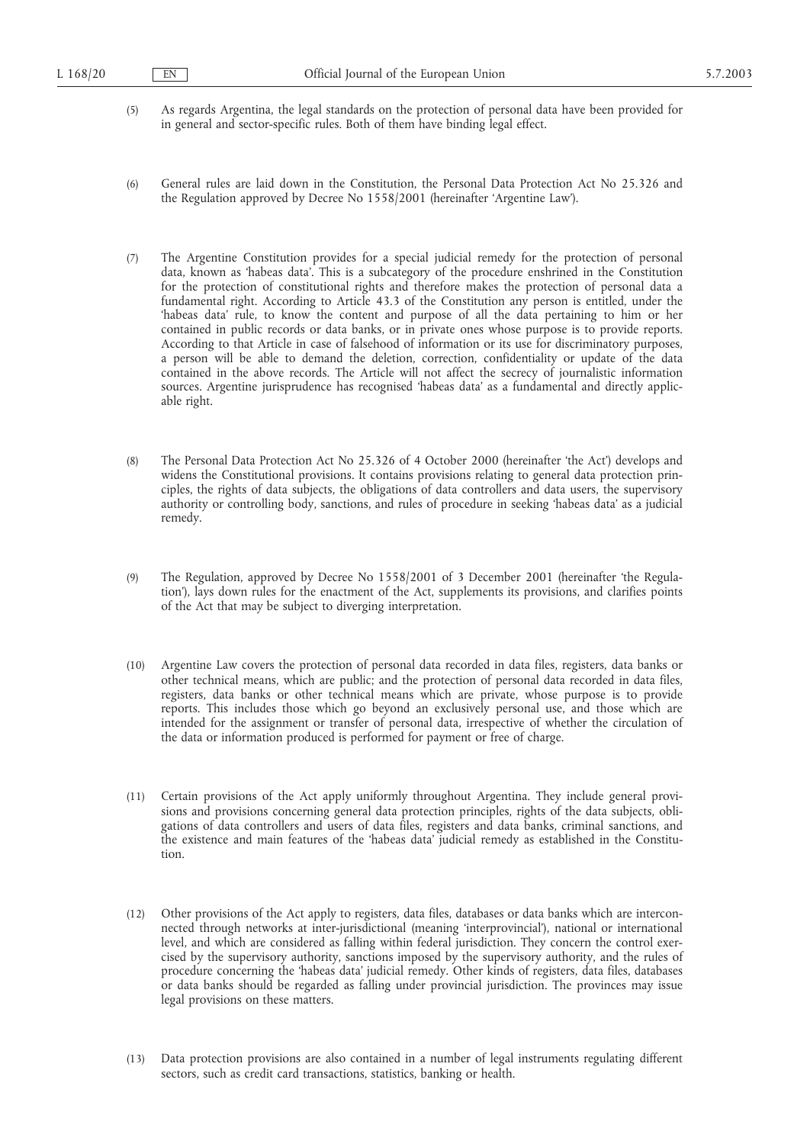- (5) As regards Argentina, the legal standards on the protection of personal data have been provided for in general and sector-specific rules. Both of them have binding legal effect.
- (6) General rules are laid down in the Constitution, the Personal Data Protection Act No 25.326 and the Regulation approved by Decree No 1558/2001 (hereinafter 'Argentine Law').
- (7) The Argentine Constitution provides for a special judicial remedy for the protection of personal data, known as 'habeas data'. This is a subcategory of the procedure enshrined in the Constitution for the protection of constitutional rights and therefore makes the protection of personal data a fundamental right. According to Article 43.3 of the Constitution any person is entitled, under the 'habeas data' rule, to know the content and purpose of all the data pertaining to him or her contained in public records or data banks, or in private ones whose purpose is to provide reports. According to that Article in case of falsehood of information or its use for discriminatory purposes, a person will be able to demand the deletion, correction, confidentiality or update of the data contained in the above records. The Article will not affect the secrecy of journalistic information sources. Argentine jurisprudence has recognised 'habeas data' as a fundamental and directly applicable right.
- (8) The Personal Data Protection Act No 25.326 of 4 October 2000 (hereinafter 'the Act') develops and widens the Constitutional provisions. It contains provisions relating to general data protection principles, the rights of data subjects, the obligations of data controllers and data users, the supervisory authority or controlling body, sanctions, and rules of procedure in seeking 'habeas data' as a judicial remedy.
- (9) The Regulation, approved by Decree No 1558/2001 of 3 December 2001 (hereinafter 'the Regulation'), lays down rules for the enactment of the Act, supplements its provisions, and clarifies points of the Act that may be subject to diverging interpretation.
- (10) Argentine Law covers the protection of personal data recorded in data files, registers, data banks or other technical means, which are public; and the protection of personal data recorded in data files, registers, data banks or other technical means which are private, whose purpose is to provide reports. This includes those which go beyond an exclusively personal use, and those which are intended for the assignment or transfer of personal data, irrespective of whether the circulation of the data or information produced is performed for payment or free of charge.
- (11) Certain provisions of the Act apply uniformly throughout Argentina. They include general provisions and provisions concerning general data protection principles, rights of the data subjects, obligations of data controllers and users of data files, registers and data banks, criminal sanctions, and the existence and main features of the 'habeas data' judicial remedy as established in the Constitution.
- (12) Other provisions of the Act apply to registers, data files, databases or data banks which are interconnected through networks at inter-jurisdictional (meaning 'interprovincial'), national or international level, and which are considered as falling within federal jurisdiction. They concern the control exercised by the supervisory authority, sanctions imposed by the supervisory authority, and the rules of procedure concerning the 'habeas data' judicial remedy. Other kinds of registers, data files, databases or data banks should be regarded as falling under provincial jurisdiction. The provinces may issue legal provisions on these matters.
- (13) Data protection provisions are also contained in a number of legal instruments regulating different sectors, such as credit card transactions, statistics, banking or health.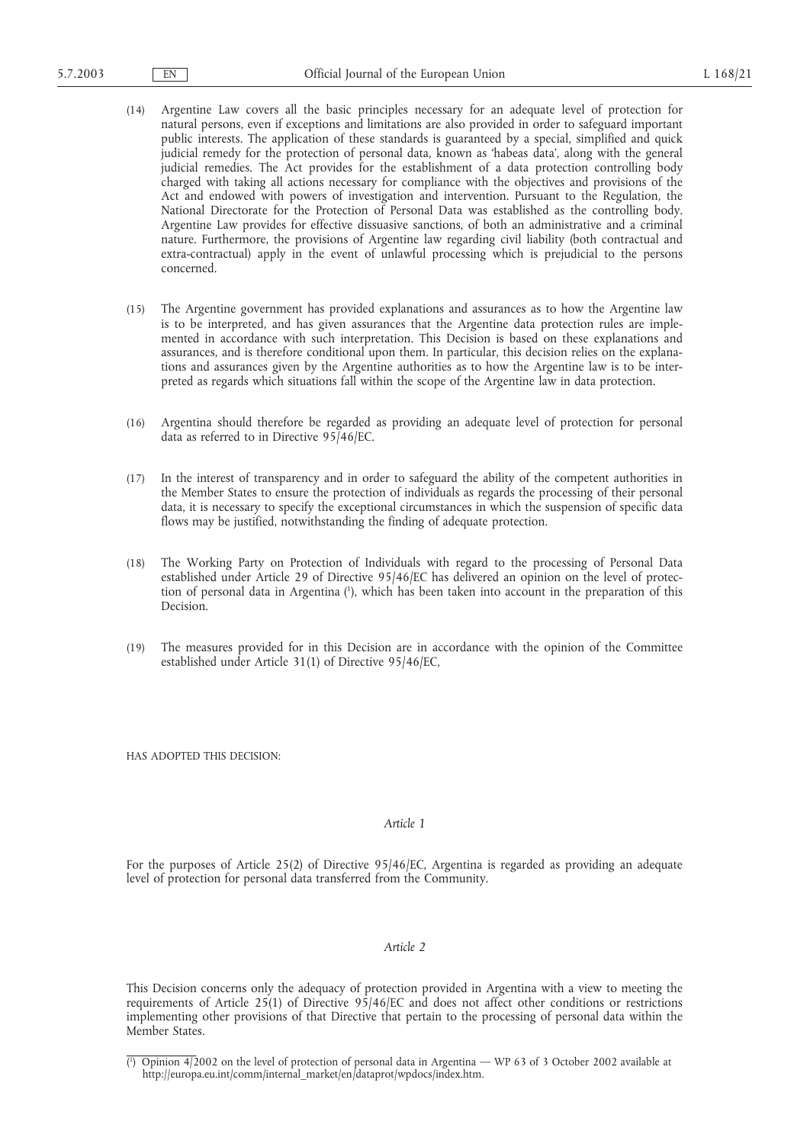- (14) Argentine Law covers all the basic principles necessary for an adequate level of protection for natural persons, even if exceptions and limitations are also provided in order to safeguard important public interests. The application of these standards is guaranteed by a special, simplified and quick judicial remedy for the protection of personal data, known as 'habeas data', along with the general judicial remedies. The Act provides for the establishment of a data protection controlling body charged with taking all actions necessary for compliance with the objectives and provisions of the Act and endowed with powers of investigation and intervention. Pursuant to the Regulation, the National Directorate for the Protection of Personal Data was established as the controlling body. Argentine Law provides for effective dissuasive sanctions, of both an administrative and a criminal nature. Furthermore, the provisions of Argentine law regarding civil liability (both contractual and extra-contractual) apply in the event of unlawful processing which is prejudicial to the persons concerned.
- (15) The Argentine government has provided explanations and assurances as to how the Argentine law is to be interpreted, and has given assurances that the Argentine data protection rules are implemented in accordance with such interpretation. This Decision is based on these explanations and assurances, and is therefore conditional upon them. In particular, this decision relies on the explanations and assurances given by the Argentine authorities as to how the Argentine law is to be interpreted as regards which situations fall within the scope of the Argentine law in data protection.
- (16) Argentina should therefore be regarded as providing an adequate level of protection for personal data as referred to in Directive 95/46/EC.
- (17) In the interest of transparency and in order to safeguard the ability of the competent authorities in the Member States to ensure the protection of individuals as regards the processing of their personal data, it is necessary to specify the exceptional circumstances in which the suspension of specific data flows may be justified, notwithstanding the finding of adequate protection.
- (18) The Working Party on Protection of Individuals with regard to the processing of Personal Data established under Article 29 of Directive 95/46/EC has delivered an opinion on the level of protection of personal data in Argentina (1 ), which has been taken into account in the preparation of this Decision.
- (19) The measures provided for in this Decision are in accordance with the opinion of the Committee established under Article 31(1) of Directive 95/46/EC,

HAS ADOPTED THIS DECISION:

### *Article 1*

For the purposes of Article 25(2) of Directive 95/46/EC, Argentina is regarded as providing an adequate level of protection for personal data transferred from the Community.

## *Article 2*

This Decision concerns only the adequacy of protection provided in Argentina with a view to meeting the requirements of Article 25(1) of Directive 95/46/EC and does not affect other conditions or restrictions implementing other provisions of that Directive that pertain to the processing of personal data within the Member States.

<sup>(</sup> 1 ) Opinion 4/2002 on the level of protection of personal data in Argentina — WP 63 of 3 October 2002 available at http://europa.eu.int/comm/internal\_market/en/dataprot/wpdocs/index.htm.